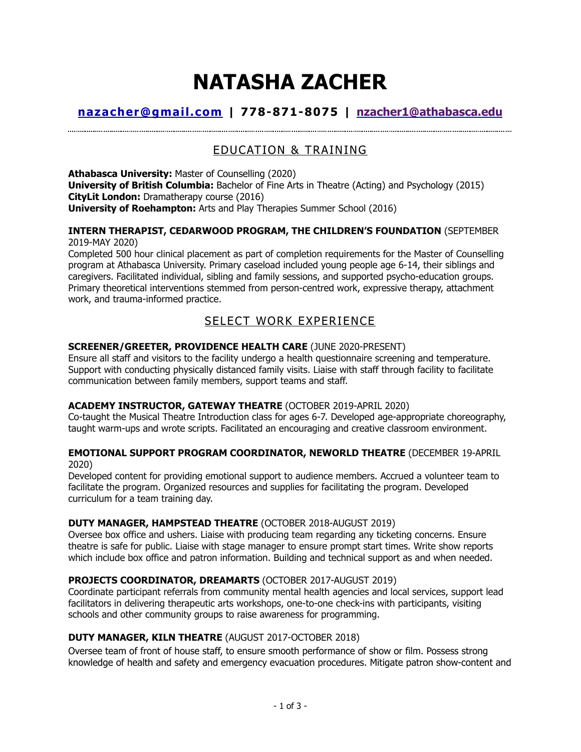# **NATASHA ZACHER**

# **[nazacher@gmail.com](mailto:nazacher@gmail.com) | 778-871-8075 | [nzacher1@athabasca.edu](mailto:nzacher1@athabasca.edu)**

# EDUCATION & TRAINING

**Athabasca University:** Master of Counselling (2020) **University of British Columbia:** Bachelor of Fine Arts in Theatre (Acting) and Psychology (2015) **CityLit London:** Dramatherapy course (2016) **University of Roehampton:** Arts and Play Therapies Summer School (2016)

#### **INTERN THERAPIST, CEDARWOOD PROGRAM, THE CHILDREN'S FOUNDATION** (SEPTEMBER 2019-MAY 2020)

Completed 500 hour clinical placement as part of completion requirements for the Master of Counselling program at Athabasca University. Primary caseload included young people age 6-14, their siblings and caregivers. Facilitated individual, sibling and family sessions, and supported psycho-education groups. Primary theoretical interventions stemmed from person-centred work, expressive therapy, attachment work, and trauma-informed practice.

# SELECT WORK EXPERIENCE

## **SCREENER/GREETER, PROVIDENCE HEALTH CARE** (JUNE 2020-PRESENT)

Ensure all staff and visitors to the facility undergo a health questionnaire screening and temperature. Support with conducting physically distanced family visits. Liaise with staff through facility to facilitate communication between family members, support teams and staff.

## **ACADEMY INSTRUCTOR, GATEWAY THEATRE** (OCTOBER 2019-APRIL 2020)

Co-taught the Musical Theatre Introduction class for ages 6-7. Developed age-appropriate choreography, taught warm-ups and wrote scripts. Facilitated an encouraging and creative classroom environment.

### **EMOTIONAL SUPPORT PROGRAM COORDINATOR, NEWORLD THEATRE** (DECEMBER 19-APRIL 2020)

Developed content for providing emotional support to audience members. Accrued a volunteer team to facilitate the program. Organized resources and supplies for facilitating the program. Developed curriculum for a team training day.

## **DUTY MANAGER, HAMPSTEAD THEATRE** (OCTOBER 2018-AUGUST 2019)

Oversee box office and ushers. Liaise with producing team regarding any ticketing concerns. Ensure theatre is safe for public. Liaise with stage manager to ensure prompt start times. Write show reports which include box office and patron information. Building and technical support as and when needed.

## **PROJECTS COORDINATOR, DREAMARTS** (OCTOBER 2017-AUGUST 2019)

Coordinate participant referrals from community mental health agencies and local services, support lead facilitators in delivering therapeutic arts workshops, one-to-one check-ins with participants, visiting schools and other community groups to raise awareness for programming.

## **DUTY MANAGER, KILN THEATRE** (AUGUST 2017-OCTOBER 2018)

Oversee team of front of house staff, to ensure smooth performance of show or film. Possess strong knowledge of health and safety and emergency evacuation procedures. Mitigate patron show-content and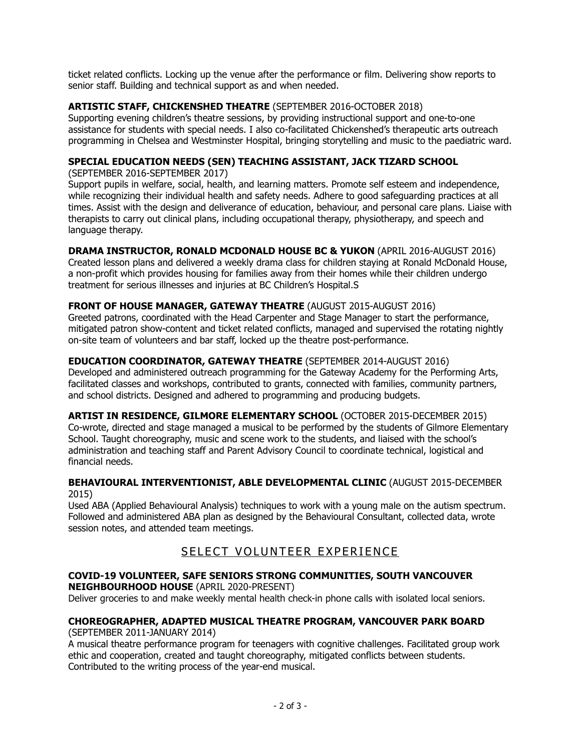ticket related conflicts. Locking up the venue after the performance or film. Delivering show reports to senior staff. Building and technical support as and when needed.

## **ARTISTIC STAFF, CHICKENSHED THEATRE** (SEPTEMBER 2016-OCTOBER 2018)

Supporting evening children's theatre sessions, by providing instructional support and one-to-one assistance for students with special needs. I also co-facilitated Chickenshed's therapeutic arts outreach programming in Chelsea and Westminster Hospital, bringing storytelling and music to the paediatric ward.

## **SPECIAL EDUCATION NEEDS (SEN) TEACHING ASSISTANT, JACK TIZARD SCHOOL**

(SEPTEMBER 2016-SEPTEMBER 2017)

Support pupils in welfare, social, health, and learning matters. Promote self esteem and independence, while recognizing their individual health and safety needs. Adhere to good safeguarding practices at all times. Assist with the design and deliverance of education, behaviour, and personal care plans. Liaise with therapists to carry out clinical plans, including occupational therapy, physiotherapy, and speech and language therapy.

**DRAMA INSTRUCTOR, RONALD MCDONALD HOUSE BC & YUKON** (APRIL 2016-AUGUST 2016) Created lesson plans and delivered a weekly drama class for children staying at Ronald McDonald House, a non-profit which provides housing for families away from their homes while their children undergo treatment for serious illnesses and injuries at BC Children's Hospital.S

## **FRONT OF HOUSE MANAGER, GATEWAY THEATRE** (AUGUST 2015-AUGUST 2016)

Greeted patrons, coordinated with the Head Carpenter and Stage Manager to start the performance, mitigated patron show-content and ticket related conflicts, managed and supervised the rotating nightly on-site team of volunteers and bar staff, locked up the theatre post-performance.

## **EDUCATION COORDINATOR, GATEWAY THEATRE** (SEPTEMBER 2014-AUGUST 2016)

Developed and administered outreach programming for the Gateway Academy for the Performing Arts, facilitated classes and workshops, contributed to grants, connected with families, community partners, and school districts. Designed and adhered to programming and producing budgets.

**ARTIST IN RESIDENCE, GILMORE ELEMENTARY SCHOOL** (OCTOBER 2015-DECEMBER 2015) Co-wrote, directed and stage managed a musical to be performed by the students of Gilmore Elementary School. Taught choreography, music and scene work to the students, and liaised with the school's administration and teaching staff and Parent Advisory Council to coordinate technical, logistical and financial needs.

### **BEHAVIOURAL INTERVENTIONIST, ABLE DEVELOPMENTAL CLINIC** (AUGUST 2015-DECEMBER 2015)

Used ABA (Applied Behavioural Analysis) techniques to work with a young male on the autism spectrum. Followed and administered ABA plan as designed by the Behavioural Consultant, collected data, wrote session notes, and attended team meetings.

# SELECT VOLUNTEER EXPERIENCE

### **COVID-19 VOLUNTEER, SAFE SENIORS STRONG COMMUNITIES, SOUTH VANCOUVER NEIGHBOURHOOD HOUSE** (APRIL 2020-PRESENT)

Deliver groceries to and make weekly mental health check-in phone calls with isolated local seniors.

#### **CHOREOGRAPHER, ADAPTED MUSICAL THEATRE PROGRAM, VANCOUVER PARK BOARD**  (SEPTEMBER 2011-JANUARY 2014)

A musical theatre performance program for teenagers with cognitive challenges. Facilitated group work ethic and cooperation, created and taught choreography, mitigated conflicts between students. Contributed to the writing process of the year-end musical.